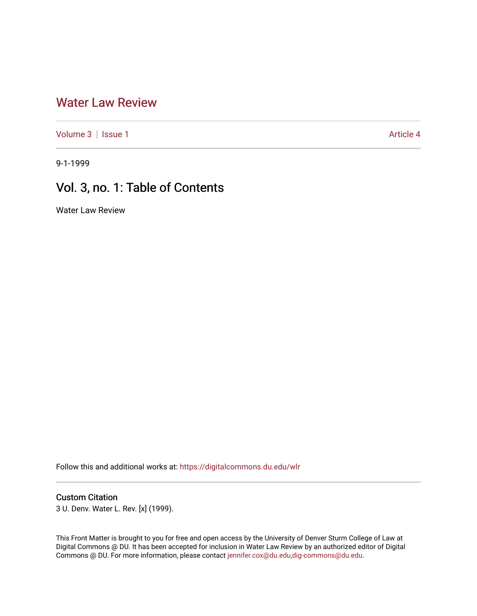## [Water Law Review](https://digitalcommons.du.edu/wlr)

[Volume 3](https://digitalcommons.du.edu/wlr/vol3) | [Issue 1](https://digitalcommons.du.edu/wlr/vol3/iss1) Article 4

9-1-1999

# Vol. 3, no. 1: Table of Contents

Water Law Review

Follow this and additional works at: [https://digitalcommons.du.edu/wlr](https://digitalcommons.du.edu/wlr?utm_source=digitalcommons.du.edu%2Fwlr%2Fvol3%2Fiss1%2F4&utm_medium=PDF&utm_campaign=PDFCoverPages) 

#### Custom Citation

3 U. Denv. Water L. Rev. [x] (1999).

This Front Matter is brought to you for free and open access by the University of Denver Sturm College of Law at Digital Commons @ DU. It has been accepted for inclusion in Water Law Review by an authorized editor of Digital Commons @ DU. For more information, please contact [jennifer.cox@du.edu,dig-commons@du.edu.](mailto:jennifer.cox@du.edu,dig-commons@du.edu)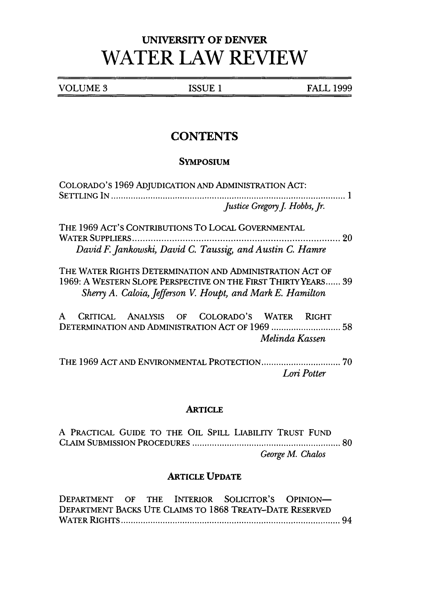# **UNIVERSITY OF DENVER WATER LAW REVIEW**

VOLUME 3 ISSUE 1 FALL 1999

## **CONTENTS**

#### **SYMPOSIUM**

| COLORADO'S 1969 ADJUDICATION AND ADMINISTRATION ACT:                                                                                                                                     | Justice Gregory J. Hobbs, Jr. |
|------------------------------------------------------------------------------------------------------------------------------------------------------------------------------------------|-------------------------------|
| THE 1969 ACT'S CONTRIBUTIONS TO LOCAL GOVERNMENTAL<br>David F. Jankowski, David C. Taussig, and Austin C. Hamre                                                                          |                               |
| THE WATER RIGHTS DETERMINATION AND ADMINISTRATION ACT OF<br>1969: A WESTERN SLOPE PERSPECTIVE ON THE FIRST THIRTY YEARS 39<br>Sherry A. Caloia, Jefferson V. Houpt, and Mark E. Hamilton |                               |
| CRITICAL ANALYSIS OF COLORADO'S WATER RIGHT<br>A                                                                                                                                         | Melinda Kassen                |
|                                                                                                                                                                                          | Lori Potter                   |

#### **ARTICLE**

A PRACTICAL GUIDE TO THE OIL SPILL LIABILITY TRUST FUND CLAIM SUBMISSION PROCEDURES ......................................................... 80 *George M. Chalos*

#### ARTICLE **UPDATE**

DEPARTMENT OF THE INTERIOR SOLICITOR'S OPINION-DEPARTMENT BACKS UTE CLAIMS TO 1868 TREATY-DATE RESERVED W ATER R IGH TS ...................................................................................... 94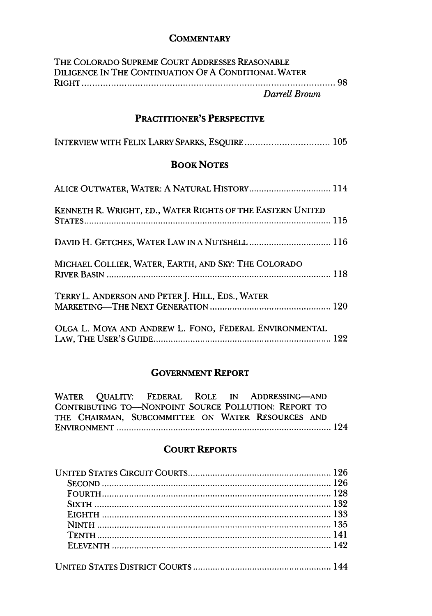#### **COMMENTARY**

| THE COLORADO SUPREME COURT ADDRESSES REASONABLE      |  |
|------------------------------------------------------|--|
| DILIGENCE IN THE CONTINUATION OF A CONDITIONAL WATER |  |
|                                                      |  |
| Darrell Brown                                        |  |

## PRACTITIONER'S PERSPECTIVE

| INTERVIEW WITH FELIX LARRY SPARKS, ESQUIRE 105 |  |  |
|------------------------------------------------|--|--|
|------------------------------------------------|--|--|

### **BOOK NOTES**

| ALICE OUTWATER, WATER: A NATURAL HISTORY 114               |  |
|------------------------------------------------------------|--|
| KENNETH R. WRIGHT, ED., WATER RIGHTS OF THE EASTERN UNITED |  |
|                                                            |  |
| MICHAEL COLLIER, WATER, EARTH, AND SKY: THE COLORADO       |  |
| TERRY L. ANDERSON AND PETER J. HILL, EDS., WATER           |  |
| OLGA L. MOYA AND ANDREW L. FONO, FEDERAL ENVIRONMENTAL     |  |

## **GOVERNMENT** REPORT

| WATER QUALITY: FEDERAL ROLE IN ADDRESSING-AND        |  |
|------------------------------------------------------|--|
| CONTRIBUTING TO-NONPOINT SOURCE POLLUTION: REPORT TO |  |
| THE CHAIRMAN, SUBCOMMITTEE ON WATER RESOURCES AND    |  |
|                                                      |  |
|                                                      |  |

### COURT REPORTS